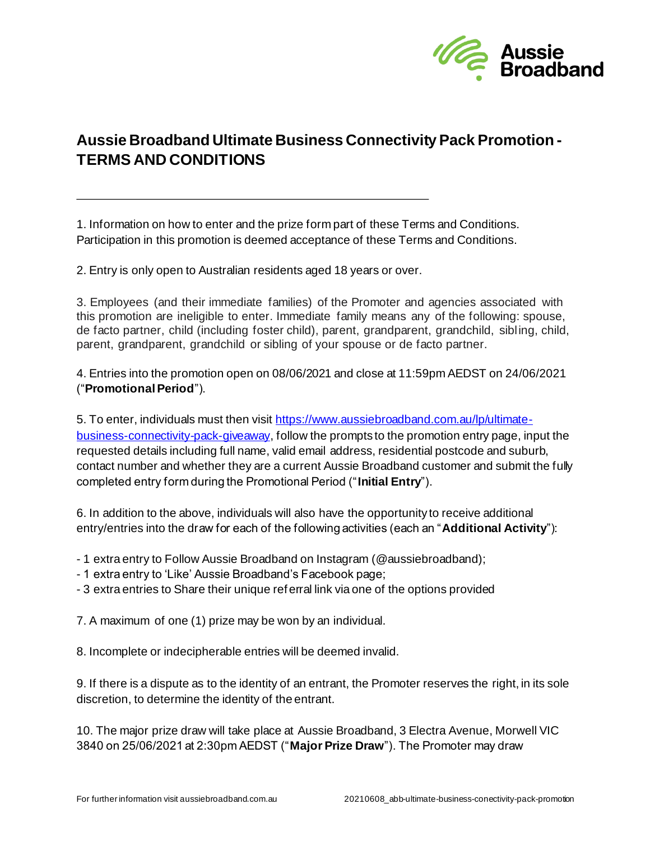

## **Aussie Broadband Ultimate Business Connectivity Pack Promotion - TERMS AND CONDITIONS**

1. Information on how to enter and the prize form part of these Terms and Conditions. Participation in this promotion is deemed acceptance of these Terms and Conditions.

2. Entry is only open to Australian residents aged 18 years or over.

3. Employees (and their immediate families) of the Promoter and agencies associated with this promotion are ineligible to enter. Immediate family means any of the following: spouse, de facto partner, child (including foster child), parent, grandparent, grandchild, sibl ing, child, parent, grandparent, grandchild or sibling of your spouse or de facto partner.

4. Entries into the promotion open on 08/06/2021 and close at 11:59pm AEDST on 24/06/2021 ("**Promotional Period**").

5. To enter, individuals must then visit [https://www.aussiebroadband.com.au/lp/ultimate](https://www.aussiebroadband.com.au/lp/ultimate-business-connectivity-pack-giveaway)[business-connectivity-pack-giveaway,](https://www.aussiebroadband.com.au/lp/ultimate-business-connectivity-pack-giveaway) follow the prompts to the promotion entry page, input the requested details including full name, valid email address, residential postcode and suburb, contact number and whether they are a current Aussie Broadband customer and submit the fully completed entry form during the Promotional Period ("**Initial Entry**").

6. In addition to the above, individuals will also have the opportunity to receive additional entry/entries into the draw for each of the following activities (each an "**Additional Activity**"):

- 1 extra entry to Follow Aussie Broadband on Instagram (@aussiebroadband);
- 1 extra entry to 'Like' Aussie Broadband's Facebook page;
- 3 extra entries to Share their unique referral link via one of the options provided

7. A maximum of one (1) prize may be won by an individual.

8. Incomplete or indecipherable entries will be deemed invalid.

9. If there is a dispute as to the identity of an entrant, the Promoter reserves the right, in its sole discretion, to determine the identity of the entrant.

10. The major prize draw will take place at Aussie Broadband, 3 Electra Avenue, Morwell VIC 3840 on 25/06/2021 at 2:30pm AEDST ("**Major Prize Draw**"). The Promoter may draw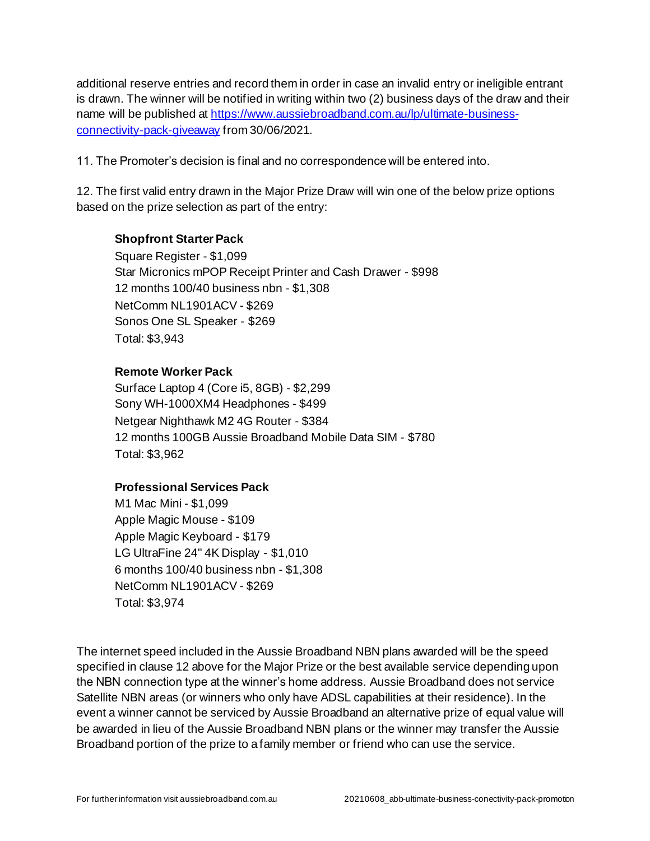additional reserve entries and record them in order in case an invalid entry or ineligible entrant is drawn. The winner will be notified in writing within two (2) business days of the draw and their name will be published at [https://www.aussiebroadband.com.au/lp/ultimate-business](https://www.aussiebroadband.com.au/lp/ultimate-business-connectivity-pack-giveaway)[connectivity-pack-giveaway](https://www.aussiebroadband.com.au/lp/ultimate-business-connectivity-pack-giveaway) from 30/06/2021.

11. The Promoter's decision is final and no correspondence will be entered into.

12. The first valid entry drawn in the Major Prize Draw will win one of the below prize options based on the prize selection as part of the entry:

## **Shopfront Starter Pack**

Square Register - \$1,099 Star Micronics mPOP Receipt Printer and Cash Drawer - \$998 12 months 100/40 business nbn - \$1,308 NetComm NL1901ACV - \$269 Sonos One SL Speaker - \$269 Total: \$3,943

## **Remote Worker Pack**

Surface Laptop 4 (Core i5, 8GB) - \$2,299 Sony WH-1000XM4 Headphones - \$499 Netgear Nighthawk M2 4G Router - \$384 12 months 100GB Aussie Broadband Mobile Data SIM - \$780 Total: \$3,962

## **Professional Services Pack**

M1 Mac Mini - \$1,099 Apple Magic Mouse - \$109 Apple Magic Keyboard - \$179 LG UltraFine 24" 4K Display - \$1,010 6 months 100/40 business nbn - \$1,308 NetComm NL1901ACV - \$269 Total: \$3,974

The internet speed included in the Aussie Broadband NBN plans awarded will be the speed specified in clause 12 above for the Major Prize or the best available service depending upon the NBN connection type at the winner's home address. Aussie Broadband does not service Satellite NBN areas (or winners who only have ADSL capabilities at their residence). In the event a winner cannot be serviced by Aussie Broadband an alternative prize of equal value will be awarded in lieu of the Aussie Broadband NBN plans or the winner may transfer the Aussie Broadband portion of the prize to a family member or friend who can use the service.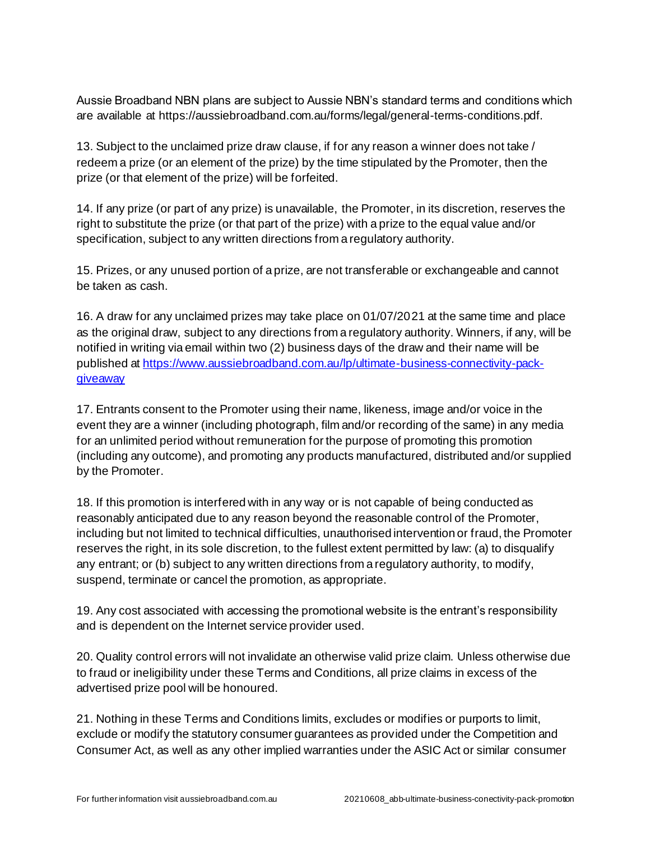Aussie Broadband NBN plans are subject to Aussie NBN's standard terms and conditions which are available at https://aussiebroadband.com.au/forms/legal/general-terms-conditions.pdf.

13. Subject to the unclaimed prize draw clause, if for any reason a winner does not take / redeem a prize (or an element of the prize) by the time stipulated by the Promoter, then the prize (or that element of the prize) will be forfeited.

14. If any prize (or part of any prize) is unavailable, the Promoter, in its discretion, reserves the right to substitute the prize (or that part of the prize) with a prize to the equal value and/or specification, subject to any written directions from a regulatory authority.

15. Prizes, or any unused portion of a prize, are not transferable or exchangeable and cannot be taken as cash.

16. A draw for any unclaimed prizes may take place on 01/07/2021 at the same time and place as the original draw, subject to any directions from a regulatory authority. Winners, if any, will be notified in writing via email within two (2) business days of the draw and their name will be published at [https://www.aussiebroadband.com.au/lp/ultimate-business-connectivity-pack](https://www.aussiebroadband.com.au/lp/ultimate-business-connectivity-pack-giveaway)[giveaway](https://www.aussiebroadband.com.au/lp/ultimate-business-connectivity-pack-giveaway)

17. Entrants consent to the Promoter using their name, likeness, image and/or voice in the event they are a winner (including photograph, film and/or recording of the same) in any media for an unlimited period without remuneration for the purpose of promoting this promotion (including any outcome), and promoting any products manufactured, distributed and/or supplied by the Promoter.

18. If this promotion is interfered with in any way or is not capable of being conducted as reasonably anticipated due to any reason beyond the reasonable control of the Promoter, including but not limited to technical difficulties, unauthorised intervention or fraud, the Promoter reserves the right, in its sole discretion, to the fullest extent permitted by law: (a) to disqualify any entrant; or (b) subject to any written directions from a regulatory authority, to modify, suspend, terminate or cancel the promotion, as appropriate.

19. Any cost associated with accessing the promotional website is the entrant's responsibility and is dependent on the Internet service provider used.

20. Quality control errors will not invalidate an otherwise valid prize claim. Unless otherwise due to fraud or ineligibility under these Terms and Conditions, all prize claims in excess of the advertised prize pool will be honoured.

21. Nothing in these Terms and Conditions limits, excludes or modifies or purports to limit, exclude or modify the statutory consumer guarantees as provided under the Competition and Consumer Act, as well as any other implied warranties under the ASIC Act or similar consumer